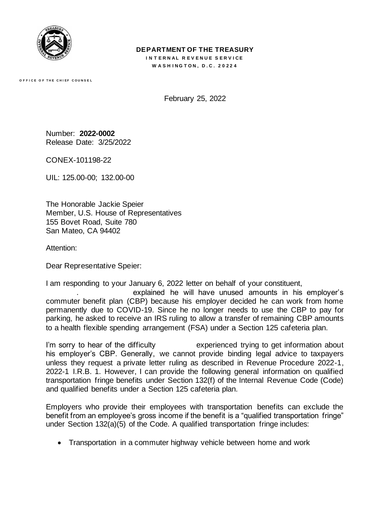

## **DEPARTMENT OF THE TREASURY**

**INTERNAL REVENUE SERVICE W A S H I N G T O N , D . C . 2 0 2 2 4**

**O F F I C E O F T H E C H I E F C O U N S E L**

February 25, 2022

Number: **2022-0002** Release Date: 3/25/2022

CONEX-101198-22

UIL: 125.00-00; 132.00-00

The Honorable Jackie Speier Member, U.S. House of Representatives 155 Bovet Road, Suite 780 San Mateo, CA 94402

Attention:

Dear Representative Speier:

I am responding to your January 6, 2022 letter on behalf of your constituent,

explained he will have unused amounts in his employer's commuter benefit plan (CBP) because his employer decided he can work from home permanently due to COVID-19. Since he no longer needs to use the CBP to pay for parking, he asked to receive an IRS ruling to allow a transfer of remaining CBP amounts to a health flexible spending arrangement (FSA) under a Section 125 cafeteria plan.

I'm sorry to hear of the difficulty  $\qquad \qquad$  experienced trying to get information about his employer's CBP. Generally, we cannot provide binding legal advice to taxpayers unless they request a private letter ruling as described in Revenue Procedure 2022-1, 2022-1 I.R.B. 1. However, I can provide the following general information on qualified transportation fringe benefits under Section 132(f) of the Internal Revenue Code (Code) and qualified benefits under a Section 125 cafeteria plan.

Employers who provide their employees with transportation benefits can exclude the benefit from an employee's gross income if the benefit is a "qualified transportation fringe" under Section 132(a)(5) of the Code. A qualified transportation fringe includes:

• Transportation in a commuter highway vehicle between home and work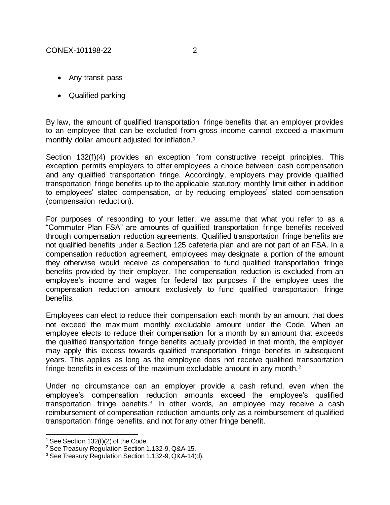- Any transit pass
- Qualified parking

By law, the amount of qualified transportation fringe benefits that an employer provides to an employee that can be excluded from gross income cannot exceed a maximum monthly dollar amount adjusted for inflation.<sup>1</sup>

Section 132(f)(4) provides an exception from constructive receipt principles. This exception permits employers to offer employees a choice between cash compensation and any qualified transportation fringe. Accordingly, employers may provide qualified transportation fringe benefits up to the applicable statutory monthly limit either in addition to employees' stated compensation, or by reducing employees' stated compensation (compensation reduction).

For purposes of responding to your letter, we assume that what you refer to as a "Commuter Plan FSA" are amounts of qualified transportation fringe benefits received through compensation reduction agreements. Qualified transportation fringe benefits are not qualified benefits under a Section 125 cafeteria plan and are not part of an FSA. In a compensation reduction agreement, employees may designate a portion of the amount they otherwise would receive as compensation to fund qualified transportation fringe benefits provided by their employer. The compensation reduction is excluded from an employee's income and wages for federal tax purposes if the employee uses the compensation reduction amount exclusively to fund qualified transportation fringe benefits.

Employees can elect to reduce their compensation each month by an amount that does not exceed the maximum monthly excludable amount under the Code. When an employee elects to reduce their compensation for a month by an amount that exceeds the qualified transportation fringe benefits actually provided in that month, the employer may apply this excess towards qualified transportation fringe benefits in subsequent years. This applies as long as the employee does not receive qualified transportation fringe benefits in excess of the maximum excludable amount in any month.<sup>2</sup>

Under no circumstance can an employer provide a cash refund, even when the employee's compensation reduction amounts exceed the employee's qualified transportation fringe benefits.<sup>3</sup> In other words, an employee may receive a cash reimbursement of compensation reduction amounts only as a reimbursement of qualified transportation fringe benefits, and not for any other fringe benefit.

 $1$  See Section 132(f)(2) of the Code.

<sup>&</sup>lt;sup>2</sup> See Treasury Regulation Section 1.132-9, Q&A-15.

<sup>3</sup> See Treasury Regulation Section 1.132-9, Q&A-14(d).